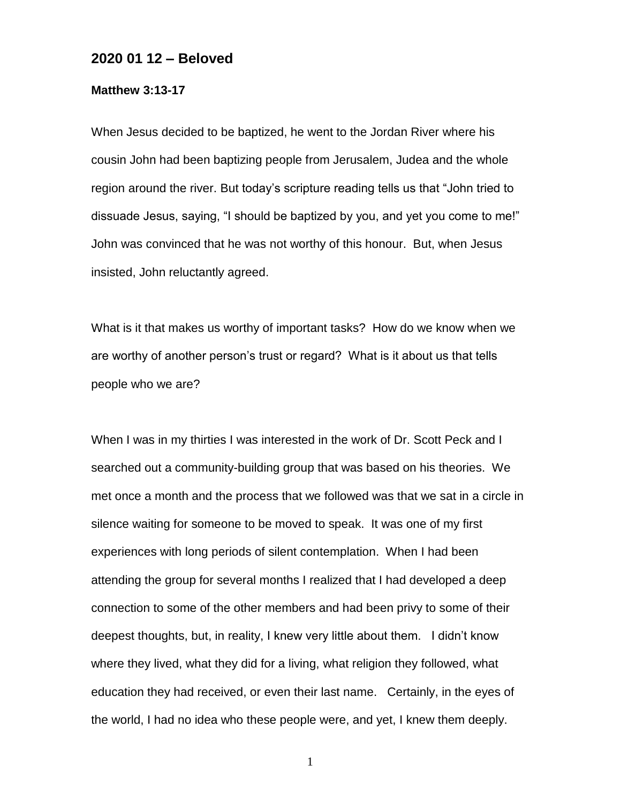## **2020 01 12 – Beloved**

## **Matthew 3:13-17**

When Jesus decided to be baptized, he went to the Jordan River where his cousin John had been baptizing people from Jerusalem, Judea and the whole region around the river. But today's scripture reading tells us that "John tried to dissuade Jesus, saying, "I should be baptized by you, and yet you come to me!" John was convinced that he was not worthy of this honour. But, when Jesus insisted, John reluctantly agreed.

What is it that makes us worthy of important tasks? How do we know when we are worthy of another person's trust or regard? What is it about us that tells people who we are?

When I was in my thirties I was interested in the work of Dr. Scott Peck and I searched out a community-building group that was based on his theories. We met once a month and the process that we followed was that we sat in a circle in silence waiting for someone to be moved to speak. It was one of my first experiences with long periods of silent contemplation. When I had been attending the group for several months I realized that I had developed a deep connection to some of the other members and had been privy to some of their deepest thoughts, but, in reality, I knew very little about them. I didn't know where they lived, what they did for a living, what religion they followed, what education they had received, or even their last name. Certainly, in the eyes of the world, I had no idea who these people were, and yet, I knew them deeply.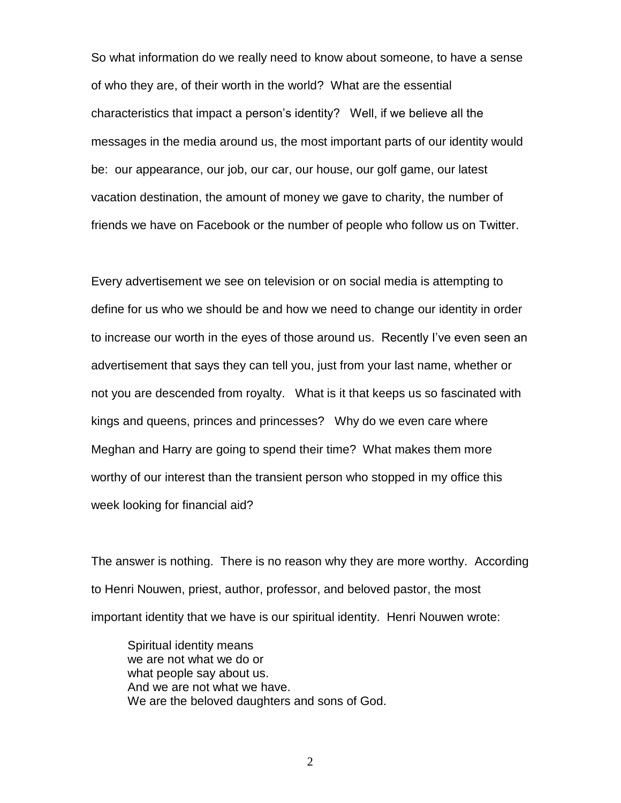So what information do we really need to know about someone, to have a sense of who they are, of their worth in the world? What are the essential characteristics that impact a person's identity? Well, if we believe all the messages in the media around us, the most important parts of our identity would be: our appearance, our job, our car, our house, our golf game, our latest vacation destination, the amount of money we gave to charity, the number of friends we have on Facebook or the number of people who follow us on Twitter.

Every advertisement we see on television or on social media is attempting to define for us who we should be and how we need to change our identity in order to increase our worth in the eyes of those around us. Recently I've even seen an advertisement that says they can tell you, just from your last name, whether or not you are descended from royalty. What is it that keeps us so fascinated with kings and queens, princes and princesses? Why do we even care where Meghan and Harry are going to spend their time? What makes them more worthy of our interest than the transient person who stopped in my office this week looking for financial aid?

The answer is nothing. There is no reason why they are more worthy. According to Henri Nouwen, priest, author, professor, and beloved pastor, the most important identity that we have is our spiritual identity. Henri Nouwen wrote:

Spiritual identity means we are not what we do or what people say about us. And we are not what we have. We are the beloved daughters and sons of God.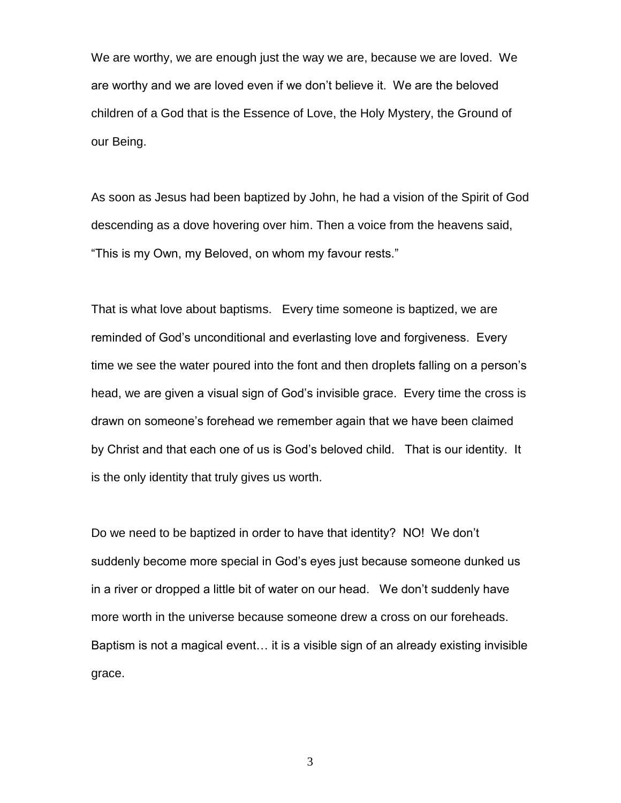We are worthy, we are enough just the way we are, because we are loved. We are worthy and we are loved even if we don't believe it. We are the beloved children of a God that is the Essence of Love, the Holy Mystery, the Ground of our Being.

As soon as Jesus had been baptized by John, he had a vision of the Spirit of God descending as a dove hovering over him. Then a voice from the heavens said, "This is my Own, my Beloved, on whom my favour rests."

That is what love about baptisms. Every time someone is baptized, we are reminded of God's unconditional and everlasting love and forgiveness. Every time we see the water poured into the font and then droplets falling on a person's head, we are given a visual sign of God's invisible grace. Every time the cross is drawn on someone's forehead we remember again that we have been claimed by Christ and that each one of us is God's beloved child. That is our identity. It is the only identity that truly gives us worth.

Do we need to be baptized in order to have that identity? NO! We don't suddenly become more special in God's eyes just because someone dunked us in a river or dropped a little bit of water on our head. We don't suddenly have more worth in the universe because someone drew a cross on our foreheads. Baptism is not a magical event… it is a visible sign of an already existing invisible grace.